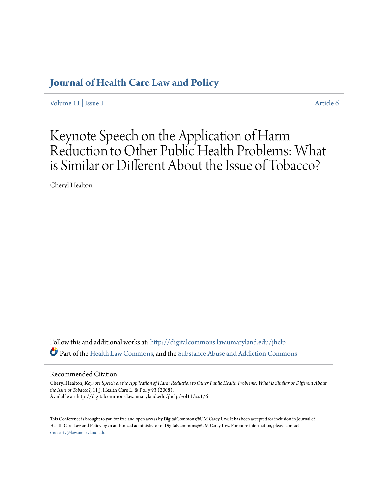## **[Journal of Health Care Law and Policy](http://digitalcommons.law.umaryland.edu/jhclp?utm_source=digitalcommons.law.umaryland.edu%2Fjhclp%2Fvol11%2Fiss1%2F6&utm_medium=PDF&utm_campaign=PDFCoverPages)**

[Volume 11](http://digitalcommons.law.umaryland.edu/jhclp/vol11?utm_source=digitalcommons.law.umaryland.edu%2Fjhclp%2Fvol11%2Fiss1%2F6&utm_medium=PDF&utm_campaign=PDFCoverPages) | [Issue 1](http://digitalcommons.law.umaryland.edu/jhclp/vol11/iss1?utm_source=digitalcommons.law.umaryland.edu%2Fjhclp%2Fvol11%2Fiss1%2F6&utm_medium=PDF&utm_campaign=PDFCoverPages) [Article 6](http://digitalcommons.law.umaryland.edu/jhclp/vol11/iss1/6?utm_source=digitalcommons.law.umaryland.edu%2Fjhclp%2Fvol11%2Fiss1%2F6&utm_medium=PDF&utm_campaign=PDFCoverPages)

# Keynote Speech on the Application of Harm Reduction to Other Public Health Problems: What is Similar or Different About the Issue of Tobacco?

Cheryl Healton

Follow this and additional works at: [http://digitalcommons.law.umaryland.edu/jhclp](http://digitalcommons.law.umaryland.edu/jhclp?utm_source=digitalcommons.law.umaryland.edu%2Fjhclp%2Fvol11%2Fiss1%2F6&utm_medium=PDF&utm_campaign=PDFCoverPages) Part of the [Health Law Commons,](http://network.bepress.com/hgg/discipline/901?utm_source=digitalcommons.law.umaryland.edu%2Fjhclp%2Fvol11%2Fiss1%2F6&utm_medium=PDF&utm_campaign=PDFCoverPages) and the [Substance Abuse and Addiction Commons](http://network.bepress.com/hgg/discipline/710?utm_source=digitalcommons.law.umaryland.edu%2Fjhclp%2Fvol11%2Fiss1%2F6&utm_medium=PDF&utm_campaign=PDFCoverPages)

### Recommended Citation

Cheryl Healton, *Keynote Speech on the Application of Harm Reduction to Other Public Health Problems: What is Similar or Different About the Issue of Tobacco?*, 11 J. Health Care L. & Pol'y 93 (2008). Available at: http://digitalcommons.law.umaryland.edu/jhclp/vol11/iss1/6

This Conference is brought to you for free and open access by DigitalCommons@UM Carey Law. It has been accepted for inclusion in Journal of Health Care Law and Policy by an authorized administrator of DigitalCommons@UM Carey Law. For more information, please contact [smccarty@law.umaryland.edu.](mailto:smccarty@law.umaryland.edu)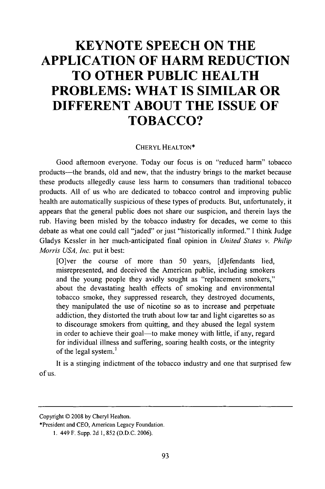## **KEYNOTE SPEECH ON THE APPLICATION OF HARM REDUCTION TO OTHER PUBLIC HEALTH PROBLEMS: WHAT IS SIMILAR OR DIFFERENT ABOUT THE ISSUE OF TOBACCO?**

#### CHERYL **HEALTON\***

Good afternoon everyone. Today our focus is on "reduced harm" tobacco products—the brands, old and new, that the industry brings to the market because these products allegedly cause less harm to consumers than traditional tobacco products. All of us who are dedicated to tobacco control and improving public health are automatically suspicious of these types of products. But, unfortunately, it appears that the general public does not share our suspicion, and therein lays the rub. Having been misled by the tobacco industry for decades, we come to this debate as what one could call "jaded" or just "historically informed." I think Judge Gladys Kessler in her much-anticipated final opinion in *United States v. Philip Morris USA, Inc.* put it best:

[O]ver the course of more than 50 years, [d]efendants lied, misrepresented, and deceived the American public, including smokers and the young people they avidly sought as "replacement smokers," about the devastating health effects of smoking and environmental tobacco smoke, they suppressed research, they destroyed documents, they manipulated the use of nicotine so as to increase and perpetuate addiction, they distorted the truth about low tar and light cigarettes so as to discourage smokers from quitting, and they abused the legal system in order to achieve their goal—to make money with little, if any, regard for individual illness and suffering, soaring health costs, or the integrity of the legal system.'

It is a stinging indictment of the tobacco industry and one that surprised few of us.

Copyright © 2008 by Cheryl Healton.

<sup>\*</sup>President and CEO, American Legacy Foundation.

<sup>1. 449</sup> F. Supp. 2d 1,852 (D.D.C. 2006).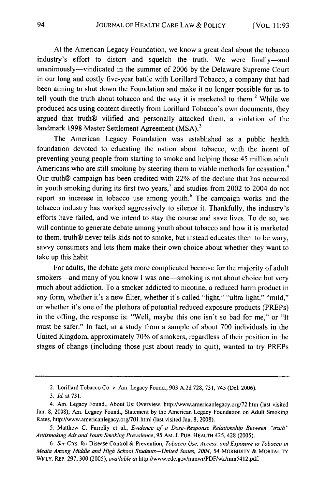At the American Legacy Foundation, we know a great deal about the tobacco industry's effort to distort and squelch the truth. We were finally-and unanimously--vindicated in the summer of 2006 by the Delaware Supreme Court in our long and costly five-year battle with Lorillard Tobacco, a company that had been aiming to shut down the Foundation and make it no longer possible for us to tell youth the truth about tobacco and the way it is marketed to them.<sup>2</sup> While we produced ads using content directly from Lorillard Tobacco's own documents, they argued that truth® vilified and personally attacked them, a violation of the landmark 1998 Master Settlement Agreement (MSA).<sup>3</sup>

The American Legacy Foundation was established as a public health foundation devoted to educating the nation about tobacco, with the intent of preventing young people from starting to smoke and helping those 45 million adult Americans who are still smoking by steering them to viable methods for cessation.<sup>4</sup> Our truth® campaign has been credited with 22% of the decline that has occurred in youth smoking during its first two years,<sup>5</sup> and studies from 2002 to 2004 do not report an increase in tobacco use among youth. $6$  The campaign works and the tobacco industry has worked aggressively to silence it. Thankfully, the industry's efforts have failed, and we intend to stay the course and save lives. To do so, we will continue to generate debate among youth about tobacco and how it is marketed to them. truth® never tells kids not to smoke, but instead educates them to be wary, savvy consumers and lets them make their own choice about whether they want to take up this habit.

For adults, the debate gets more complicated because for the majority of adult smokers—and many of you know I was one—smoking is not about choice but very much about addiction. To a smoker addicted to nicotine, a reduced harm product in any form, whether it's a new filter, whether it's called "light," "ultra light," "mild," or whether it's one of the plethora of potential reduced exposure products (PREPs) in the offing, the response is: "Well, maybe this one isn't so bad for me," or "It must be safer." In fact, in a study from a sample of about 700 individuals in the United Kingdom, approximately 70% of smokers, regardless of their position in the stages of change (including those just about ready to quit), wanted to try PREPs

<sup>2.</sup> Lorillard Tobacco Co. v. Am. Legacy Found., 903 A.2d 728, 731, 745 (Del. 2006).

*<sup>3.</sup>* Id. at **731.**

<sup>4.</sup> Am. Legacy Found., About Us: Overview, http://www.americanlegacy.org/72.htm (last visited Jan. 8, 2008); Am. Legacy Found., Statement by the American Legacy Foundation on Adult Smoking Rates, http://www.americanlegacy.org/701.html (last visited Jan. 8, 2008).

<sup>5.</sup> Matthew C. Farrelly et al., *Evidence of a Dose-Response Relationship Between "truth" Antismoking Ads and Youth Smoking Prevalence,* 95 AM. J. PUB. HEALTH 425, 428 (2005).

*<sup>6.</sup> See* Ctrs. for Disease Control & Prevention, *Tobacco Use, Access, and Exposure to Tobacco in Media Among Middle and High School Students-United States, 2004, 54 MORBIDITY & MORTALITY* WKLY. REP. 297, 300 (2005), *available at* http://www.cdc.gov/mmwr/PDF/wk/mm5412.pdf.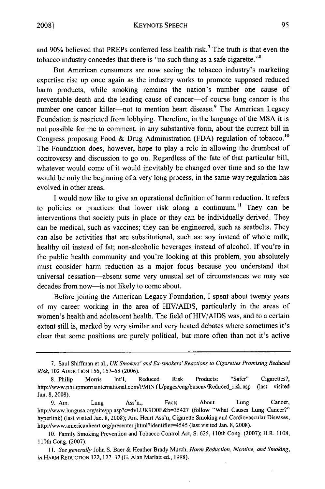and 90% believed that PREPs conferred less health risk.<sup>7</sup> The truth is that even the tobacco industry concedes that there is "no such thing as a safe cigarette."<sup>8</sup>

But American consumers are now seeing the tobacco industry's marketing expertise rise up once again as the industry works to promote supposed reduced harm products, while smoking remains the nation's number one cause of preventable death and the leading cause of cancer--of course lung cancer is the number one cancer killer---not to mention heart disease.<sup>9</sup> The American Legacy Foundation is restricted from lobbying. Therefore, in the language of the MSA it is not possible for me to comment, in any substantive form, about the current bill in Congress proposing Food & Drug Administration (FDA) regulation of tobacco.<sup>10</sup> The Foundation does, however, hope to play a role in allowing the drumbeat of controversy and discussion to go on. Regardless of the fate of that particular bill, whatever would come of it would inevitably be changed over time and so the law would be only the beginning of a very long process, in the same way regulation has evolved in other areas.

I would now like to give an operational definition of harm reduction. It refers to policies or practices that lower risk along a continuum.<sup>11</sup> They can be interventions that society puts in place or they can be individually derived. They can be medical, such as vaccines; they can be engineered, such as seatbelts. They can also be activities that are substitutional, such as: soy instead of whole milk; healthy oil instead of fat; non-alcoholic beverages instead of alcohol. If you're in the public health community and you're looking at this problem, you absolutely must consider harm reduction as a major focus because you understand that universal cessation-absent some very unusual set of circumstances we may see decades from now-is not likely to come about.

Before joining the American Legacy Foundation, I spent about twenty years of my career working in the area of HIV/AIDS, particularly in the areas of women's health and adolescent health. The field of HIV/AIDS was, and to a certain extent still is, marked by very similar and very heated debates where sometimes it's clear that some positions are purely political, but more often than not it's active

<sup>7.</sup> Saul Shiffman et al., *UK Smokers' and Ex-smokers' Reactions to Cigarettes Promising Reduced Risk,* 102 **ADDICTION** 156, 157-58 (2006).

<sup>8.</sup> Philip Morris Int'l, Reduced Risk Products: "Safer" Cigarettes?, http://www.philipmorrisintemational.com/PMINTL'pages/eng/busenv/Reduced-risk.asp (last visited Jan. 8, 2008).

<sup>9.</sup> Am. Lung Ass'n., Facts About Lung Cancer, http://www.lungusa.org/site/pp.asp?c=dvLUK900E&b=35427 (follow "What Causes Lung Cancer?" hyperlink) (last visited Jan. 8, 2008); Am. Heart Ass'n, Cigarette Smoking and Cardiovascular Diseases, http://www.americanheart.org/presenter.jhtml?identifier=4545 (last visited Jan. 8, 2008).

<sup>10.</sup> Family Smoking Prevention and Tobacco Control Act, **S.** 625, 110th Cong. (2007); H.R. 1108, 110th Cong. (2007).

*<sup>11.</sup> See generally* John S. Baer & Heather Brady Murch, *Harm Reduction, Nicotine, and Smoking, in* HARM **REDUCTION** 122, 127-37 (G. Alan Marlatt ed., 1998).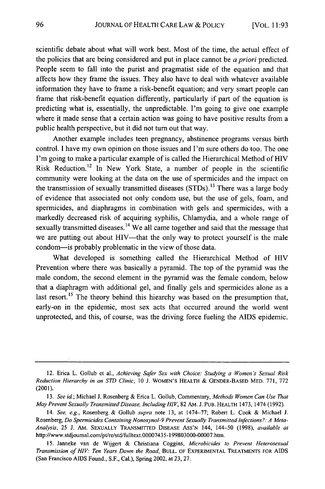scientific debate about what will work best. Most of the time, the actual effect of the policies that are being considered and put in place cannot be *a priori* predicted. People seem to fall into the purist and pragmatist side of the equation and that affects how they frame the issues. They also have to deal with whatever available information they have to frame a risk-benefit equation; and very smart people can frame that risk-benefit equation differently, particularly if part of the equation is predicting what is, essentially, the unpredictable. I'm going to give one example where it made sense that a certain action was going to have positive results from a public health perspective, but it did not turn out that way.

Another example includes teen pregnancy, abstinence programs versus birth control. I have my own opinion on those issues and I'm sure others do too. The one I'm going to make a particular example of is called the Hierarchical Method of HIV Risk Reduction.<sup>12</sup> In New York State, a number of people in the scientific community were looking at the data on the use of spermicides and the impact on the transmission of sexually transmitted diseases (STDs).<sup>13</sup> There was a large body of evidence that associated not only condom use, but the use of gels, foam, and spermicides, and diaphragms in combination with gels and spermicides, with a markedly decreased risk of acquiring syphilis, Chlamydia, and a whole range of sexually transmitted diseases.<sup>14</sup> We all came together and said that the message that we are putting out about HIV—that the only way to protect yourself is the male condom-is probably problematic in the view of those data.

What developed is something called the Hierarchical Method of HIV Prevention where there was basically a pyramid. The top of the pyramid was the male condom, the second element in the pyramid was the female condom, below that a diaphragm with additional gel, and finally gels and spermicides alone as a last resort.<sup>15</sup> The theory behind this hiearchy was based on the presumption that, early-on in the epidemic, most sex acts that occurred around the world went unprotected, and this, of course, was the driving force fueling the AIDS epidemic.

<sup>12.</sup> Erica L. Gollub et al., *Achieving Safer Sex with Choice: Studying a Women's Sexual Risk Reduction Hierarchy in an STD Clinic,* 10 J. WOMEN'S HEALTH & **GENDER-BASED** MED. 771, 772 (2001).

<sup>13.</sup> *See id;* Michael J. Rosenberg & Erica L. Gollub, Commentary, *Methods Women Can Use That May Prevent Sexually Transmitted Disease, Including HIV,* 82 AM. **J.** PUB. HEALTH 1473, 1474 (1992).

<sup>14.</sup> *See, e.g.,* Rosenberg & Gollub *supra* note 13, at 1474-77; Robert L. Cook & Michael J. Rosenberg, *Do Spermicides Containing Nonoxynol-9 Prevent Sexually Transmitted Infections?: A Meta-Analysis,* 25 J. AM. **SEXUALLY** TRANSMITTED DISEASE ASS'N 144, 144-50 (1998), *available at* http://www.stdjoumal.com/pt/re/std/fulltext.00007435-199803000-00007.htm.

*<sup>15.</sup>* Janneke van de Wijgert & Christiana Coggins, *Microbicides to Prevent Heterosexual Transmission of HIV: Ten Years Down the Road,* **BULL.** OF EXPERIMENTAL TREATMENTS FOR AIDS (San Francisco AIDS Found., S.F., Cal.), Spring 2002, at 23, 27.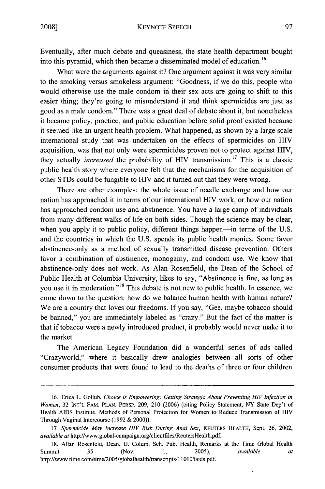Eventually, after much debate and queasiness, the state health department bought into this pyramid, which then became a disseminated model of education. **<sup>16</sup>**

What were the arguments against it? One argument against it was very similar to the smoking versus smokeless argument: "Goodness, if we do this, people who would otherwise use the male condom in their sex acts are going to shift to this easier thing; they're going to misunderstand it and think spermicides are just as good as a male condom." There was a great deal of debate about it, but nonetheless it became policy, practice, and public education before solid proof existed because it seemed like an urgent health problem. What happened, as shown by a large scale international study that was undertaken on the effects of spermicides on HIV acquisition, was that not only were spermicides proven not to protect against HIV, they actually *increased* the probability of HIV transmission.<sup>17</sup> This is a classic public health story where everyone felt that the mechanisms for the acquisition of other STDs could be fungible to HIV and it turned out that they were wrong.

There are other examples: the whole issue of needle exchange and how our nation has approached it in terms of our international HIV work, or how our nation has approached condom use and abstinence. You have a large camp of individuals from many different walks of life on both sides. Though the science may be clear, when you apply it to public policy, different things happen—in terms of the U.S. and the countries in which the U.S. spends its public health monies. Some favor abstinence-only as a method of sexually transmitted disease prevention. Others favor a combination of abstinence, monogamy, and condom use. We know that abstinence-only does not work. As Alan Rosenfield, the Dean of the School of Public Health at Columbia University, likes to say, "Abstinence is fine, as long as you use it in moderation."<sup>18</sup> This debate is not new to public health. In essence, we come down to the question: how do we balance human health with human nature? We are a country that loves our freedoms. If you say, "Gee, maybe tobacco should be banned," you are immediately labeled as "crazy." But the fact of the matter is that if tobacco were a newly introduced product, it probably would never make it to the market.

The American Legacy Foundation did a wonderful series of ads called "Crazyworld," where it basically drew analogies between all sorts of other consumer products that were found to lead to the deaths of three or four children

<sup>16.</sup> Erica L. Gollub, *Choice is Empowering: Getting Strategic About Preventing HIV Infection in Women,* 32 **INT'L** FAM. **PLAN.** PERSP. 209, 210 (2006) (citing Policy Statement, NY State Dep't of Health AIDS Institute, Methods of Personal Protection for Women to Reduce Transmission of HIV Through Vaginal Intercourse (1992 & 2000)).

<sup>17.</sup> *Spermicide May Increase HIV Risk During Anal Sex,* **REUTERS** HEALTH, Sept. 26, 2002, *available at* http://www.global-campaign.org/clientfiles/ReutersHealth.pdf.

<sup>18.</sup> Allan Rosenfeld, Dean, U. Colum. Sch. Pub. Health, Remarks at the Time Global Health Summit 35 (Nov. 1, 2005), *available at* http://www.time.com/time/2005/globalhealth/transcripts/I 10105aids.pdf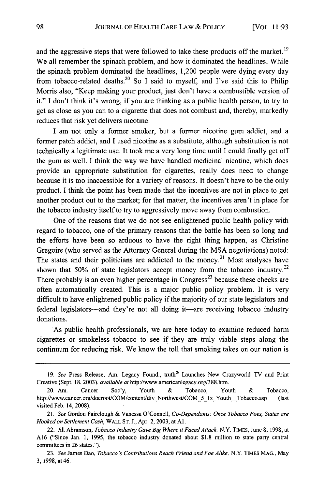and the aggressive steps that were followed to take these products off the market. **19** We all remember the spinach problem, and how it dominated the headlines. While the spinach problem dominated the headlines, 1,200 people were dying every day from tobacco-related deaths.<sup>20</sup> So I said to myself, and I've said this to Philip Morris also, "Keep making your product, just don't have a combustible version of it." I don't think it's wrong, if you are thinking as a public health person, to try to get as close as you can to a cigarette that does not combust and, thereby, markedly reduces that risk yet delivers nicotine.

I am not only a former smoker, but a former nicotine gum addict, and a former patch addict, and I used nicotine as a substitute, although substitution is not technically a legitimate use. It took me a very long time until I could finally get off the gum as well. I think the way we have handled medicinal nicotine, which does provide an appropriate substitution for cigarettes, really does need to change because it is too inaccessible for a variety of reasons. It doesn't have to be the only product. I think the point has been made that the incentives are not in place to get another product out to the market; for that matter, the incentives aren't in place for the tobacco industry itself to try to aggressively move away from combustion.

One of the reasons that we do not see enlightened public health policy with regard to tobacco, one of the primary reasons that the battle has been so long and the efforts have been so arduous to have the right thing happen, as Christine Gregoire (who served as the Attorney General during the MSA negotiations) noted: The states and their politicians are addicted to the money.<sup>21</sup> Most analyses have shown that 50% of state legislators accept money from the tobacco industry.<sup>22</sup> There probably is an even higher percentage in  $Congress<sup>23</sup>$  because these checks are often automatically created. This is a major public policy problem. It is very difficult to have enlightened public policy if the majority of our state legislators and federal legislators-and they're not all doing it-are receiving tobacco industry donations.

As public health professionals, we are here today to examine reduced harm cigarettes or smokeless tobacco to see if they are truly viable steps along the continuum for reducing risk. We know the toll that smoking takes on our nation is

<sup>19.</sup> *See* Press Release, Am. Legacy Found., truth® Launches New Crazyworld TV and Print Creative (Sept. 18, 2003), *available at* http://www.americanlegacy.org/388.htm.

<sup>20.</sup> Am. Cancer Soc'y, Youth & Tobacco, Youth & Tobacco, http://www.cancer.org/docroot/COM/content/div Northwest/COM 5 1x Youth Tobacco.asp (last visited Feb. 14, 2008).

*<sup>21.</sup> See* Gordon Fairclough & Vanessa O'Connell, *Co-Dependants: Once Tobacco Foes, States are Hooked* on *Settlement Cash,* WALL **ST. J.,** Apr. 2, 2003, at **Al.**

<sup>22.</sup> Jill Abramson, *Tobacco Industry Gave Big Where it Faced Attack,* N.Y. **TIMES,** June 8, 1998, at A16 ("Since Jan. 1, 1995, the tobacco industry donated about \$1.8 million to state party central committees in 26 states.").

<sup>23.</sup> *See* James Dao, *Tobacco 's Contributions Reach Friend and Foe Alike,* N.Y. **TIMES MAG.,** May **3.** 1998. at 46.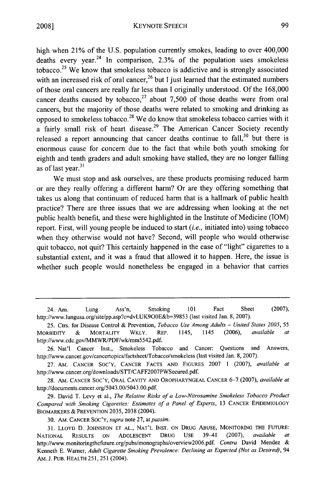high when 21% of the U.S. population currently smokes, leading to over 400,000 deaths every year.<sup>24</sup> In comparison,  $2.3\%$  of the population uses smokeless tobacco.<sup>25</sup> We know that smokeless tobacco is addictive and is strongly associated with an increased risk of oral cancer,<sup>26</sup> but I just learned that the estimated numbers of those oral cancers are really far less than I originally understood. Of the 168,000 cancer deaths caused by tobacco,<sup>27</sup> about 7,500 of those deaths were from oral cancers, but the majority of those deaths were related to smoking and drinking as opposed to smokeless tobacco.<sup>28</sup> We do know that smokeless tobacco carries with it a fairly small risk of heart disease.<sup>29</sup> The American Cancer Society recently released a report announcing that cancer deaths continue to fall, $30$  but there is enormous cause for concern due to the fact that while both youth smoking for eighth and tenth graders and adult smoking have stalled, they are no longer falling as of last year.<sup>31</sup>

We must stop and ask ourselves, are these products promising reduced harm or are they really offering a different harm? Or are they offering something that takes us along that continuum of reduced harm that is a hallmark of public health practice? There are three issues that we are addressing when looking at the net public health benefit, and these were highlighted in the Institute of Medicine (IOM) report. First, will young people be induced to start *(i.e.,* initiated into) using tobacco when they otherwise would not have? Second, will people who would otherwise quit tobacco, not quit? This certainly happened in the case of "light" cigarettes to a substantial extent, and it was a fraud that allowed it to happen. Here, the issue is whether such people would nonetheless be engaged in a behavior that carries

<sup>24.</sup> Am. Lung Ass'n, Smoking 101 Fact Sheet (2007), http://www.lungusa.org/site/pp.asp?c=dvLUK900E&b=39853 (last visited Jan. 8, 2007).

<sup>25.</sup> Ctrs. for Disease Control & Prevention, *Tobacco Use Among Adults - United States 2005, 55* MORBIDITY & MORTALITY WKLY. REP. 1145, 1145 (2006), *available* http://www.cdc.gov/MMWR/PDF/wk/mm5542.pdf.

<sup>26.</sup> Nat'l Cancer Inst., Smokeless Tobacco and Cancer: Questions and Answers, http://www.cancer.gov/cancertopics/factsheet/Tobacco/smokeless (last visited Jan. 8, 2007).

<sup>27.</sup> AM. CANCER SOC'Y, CANCER FACTS AND FIGURES 2007 1 (2007), *available at* http://www.cancer.org/downloads/STT/CAFF2007PWSecured.pdf.

<sup>28.</sup> AM. CANCER **SOC'Y,** ORAL CAVITY AND OROPHARYNGEAL CANCER **6-7** (2007), *available at* http://documents.cancer.org/5043.00/5043.00.pdf.

<sup>29.</sup> David T. Levy et al., *The Relative Risks of a Low-Nitrosamine Smokeless Tobacco Product Compared with Smoking Cigarettes: Estimates of a Panel of Experts,* 13 CANCER EPIDEMIOLOGY BIOMARKERS & PREVENTION 2035, 2038 (2004).

<sup>30.</sup> AM. **CANCER** SOC'Y, *supra* note 27, *atpassim.*

<sup>31.</sup> LLOYD **D.** JOHNSTON ET AL., NAT'L INST. ON DRUG ABUSE, MONITORING THE FUTURE: NATIONAL RESULTS ON ADOLESCENT DRUG USE 39-41 (2007), *available at* http://www.monitoringthefuture.org/pubs/monographs/overview2006.pdf. *Contra* David Mendez & Kenneth E. Warner, *Adult Cigarette Smoking Prevalence: Declining as Expected (Not as Desired),* 94 AM. J. PUB. HEALTH 251, 251 (2004).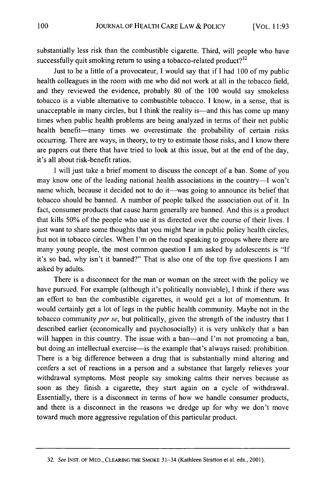substantially less risk than the combustible cigarette. Third, will people who have successfully quit smoking return to using a tobacco-related product? $32$ 

Just to be a little of a provocateur, I would say that if I had 100 of my public health colleagues in the room with me who did not work at all in the tobacco field, and they reviewed the evidence, probably 80 of the 100 would say smokeless tobacco is a viable alternative to combustible tobacco. I know, in a sense, that is unacceptable in many circles, but I think the reality is—and this has come up many times when public health problems are being analyzed in terms of their net public health benefit—many times we overestimate the probability of certain risks occurring. There are ways, in theory, to try to estimate those risks, and I know there are papers out there that have tried to look at this issue, but at the end of the day, it's all about risk-benefit ratios.

I will just take a brief moment to discuss the concept of a ban. Some of you may know one of the leading national health associations in the country-I won't name which, because it decided not to do it—was going to announce its belief that tobacco should be banned. A number of people talked the association out of it. In fact, consumer products that cause harm generally are banned. And this is a product that kills 50% of the people who use it as directed over the course of their lives. I just want to share some thoughts that you might hear in public policy health circles, but not in tobacco circles. When I'm on the road speaking to groups where there are many young people, the most common question I am asked by adolescents is "If it's so bad, why isn't it banned?" That is also one of the top five questions I am asked by adults.

There is a disconnect for the man or woman on the street with the policy we have pursued. For example (although it's politically nonviable), I think if there was an effort to ban the combustible cigarettes, it would get a lot of momentum. It would certainly get a lot of legs in the public health community. Maybe not in the tobacco community *per se,* but politically, given the strength of the industry that I described earlier (economically and psychosocially) it is very unlikely that a ban will happen in this country. The issue with a ban—and I'm not promoting a ban, but doing an intellectual exercise—is the example that's always raised: prohibition. There is a big difference between a drug that is substantially mind altering and confers a set of reactions in a person and a substance that largely relieves your withdrawal symptoms. Most people say smoking calms their nerves because as soon as they finish a cigarette, they start again on a cycle of withdrawal. Essentially, there is a disconnect in terms of how we handle consumer products, and there is a disconnect in the reasons we dredge up for why we don't move toward much more aggressive regulation of this particular product.

**<sup>32.</sup>** *See* **INST.** OF MED., **CLEARING** THE **SMOKE** 31-34 (Kathleen Stratton et al. eds., 2001).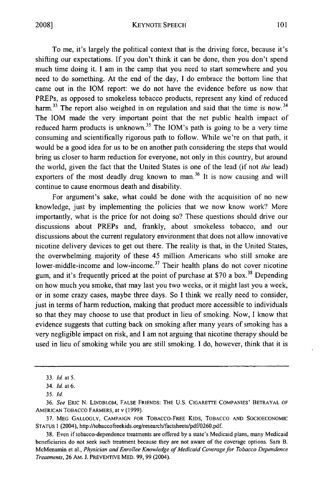KEYNOTE SPEECH

To me, it's largely the political context that is the driving force, because it's shifting our expectations. If you don't think it can be done, then you don't spend much time doing it. I am in the camp that you need to start somewhere and you need to do something. At the end of the day, I do embrace the bottom line that came out in the IOM report: we do not have the evidence before us now that PREPs, as opposed to smokeless tobacco products, represent any kind of reduced harm.<sup>33</sup> The report also weighed in on regulation and said that the time is now.<sup>34</sup> The IOM made the very important point that the net public health impact of reduced harm products is unknown.<sup>35</sup> The IOM's path is going to be a very time consuming and scientifically rigorous path to follow. While we're on that path, it would be a good idea for us to be on another path considering the steps that would bring us closer to harm reduction for everyone, not only in this country, but around the world, given the fact that the United States is one of the lead (if not the lead) exporters of the most deadly drug known to man.<sup>36</sup> It is now causing and will continue to cause enormous death and disability.

For argument's sake, what could be done with the acquisition of no new knowledge, just by implementing the policies that we now know work? More importantly, what is the price for not doing so? These questions should drive our discussions about PREPs and, frankly, about smokeless tobacco, and our discussions about the current regulatory environment that does not allow innovative nicotine delivery devices to get out there. The reality is that, in the United States, the overwhelming majority of these 45 million Americans who still smoke are lower-middle-income and low-income.<sup>37</sup> Their health plans do not cover nicotine gum, and it's frequently priced at the point of purchase at \$70 a box.<sup>38</sup> Depending on how much you smoke, that may last you two weeks, or it might last you a week, or in some crazy cases, maybe three days. So I think we really need to consider, just in terms of harm reduction, making that product more accessible to individuals so that they may choose to use that product in lieu of smoking. Now, I know that evidence suggests that cutting back on smoking after many years of smoking has a very negligible impact on risk, and I am not arguing that nicotine therapy should be used in lieu of smoking while you are still smoking. I do, however, think that it is

<sup>33.</sup> *Id.* at 5.

<sup>34.</sup> *Id.* at 6.

*<sup>35.</sup> Id.*

<sup>36.</sup> *See* ERIC N. LINDBLOM, FALSE FRIENDS: THE U.S. CIGARETTE COMPANIES' BETRAYAL OF AMERICAN TOBACCO FARMERS, at v (1999).

<sup>37.</sup> **MEG** GALLOGLY, **CAMPAIGN** FOR TOBACCO-FREE KIDS, **TOBACCO AND SOCIOECONOMIC STATUS I** (2004), http://tobaccofreekids.org/research/factsheets/pdf/0260.pdf.

<sup>38.</sup> Even if tobacco-dependence treatments are offered by a state's Medicaid plans, many Medicaid beneficiaries do not seek such treatment because they are not aware of the coverage options. Sara B. McMenamin et al., *Physician and Enrollee Knowledge of Medicaid Coverage for Tobacco Dependence Treatments,* 26 AM. J. **PREVENTIVE** MED. 99, 99 (2004).